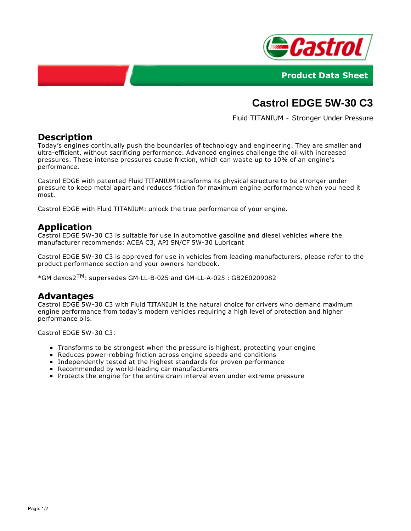



# **Castrol EDGE 5W-30 C3**

Fluid TITANIUM - Stronger Under Pressure

### **Description**

Today's engines continually push the boundaries of technology and engineering. They are smaller and ultra-efficient, without sacrificing performance. Advanced engines challenge the oil with increased pressures. These intense pressures cause friction, which can waste up to 10% of an engine's performance.

Castrol EDGE with patented Fluid TITANIUM transforms its physical structure to be stronger under pressure to keep metal apart and reduces friction for maximum engine performance when you need it most.

Castrol EDGE with Fluid TITANIUM: unlock the true performance of your engine.

### **Application**

Castrol EDGE 5W-30 C3 is suitable for use in automotive gasoline and diesel vehicles where the manufacturer recommends: ACEA C3, API SN/CF 5W-30 Lubricant

Castrol EDGE 5W-30 C3 is approved for use in vehicles from leading manufacturers, please refer to the product performance section and your owners handbook.

 $*$ GM dexos2<sup>TM</sup>: supersedes GM-LL-B-025 and GM-LL-A-025 : GB2E0209082

#### **Advantages**

Castrol EDGE 5W-30 C3 with Fluid TITANIUM is the natural choice for drivers who demand maximum engine performance from today's modern vehicles requiring a high level of protection and higher performance oils.

Castrol EDGE 5W-30 C3:

- Transforms to be strongest when the pressure is highest, protecting your engine
- Reduces power-robbing friction across engine speeds and conditions
- Independently tested at the highest standards for proven performance
- Recommended by world-leading car manufacturers
- Protects the engine for the entire drain interval even under extreme pressure